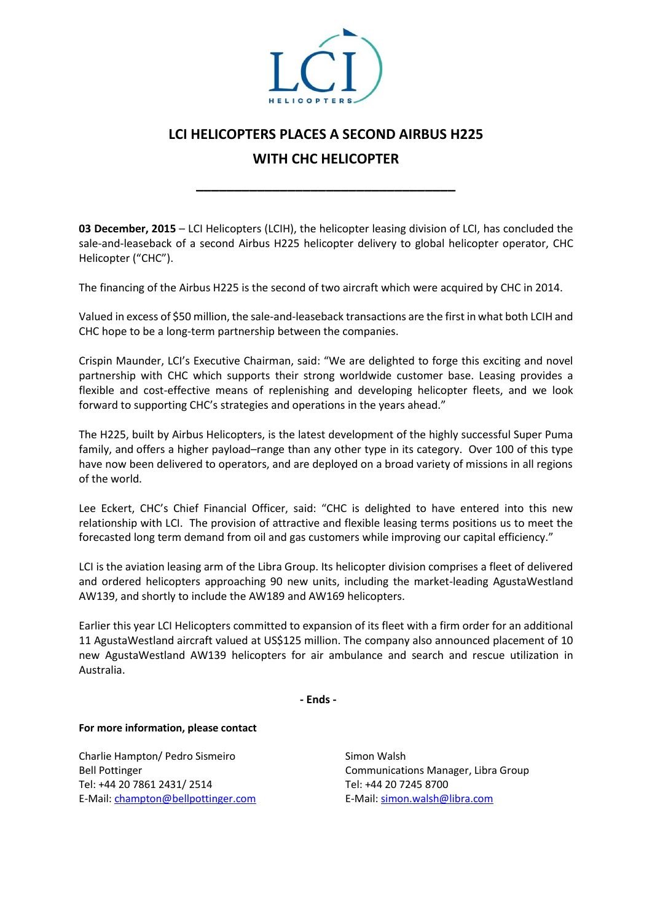

## **LCI HELICOPTERS PLACES A SECOND AIRBUS H225**

# **WITH CHC HELICOPTER**

**\_\_\_\_\_\_\_\_\_\_\_\_\_\_\_\_\_\_\_\_\_\_\_\_\_\_\_\_\_\_\_\_\_\_**

**03 December, 2015** – LCI Helicopters (LCIH), the helicopter leasing division of LCI, has concluded the sale-and-leaseback of a second Airbus H225 helicopter delivery to global helicopter operator, CHC Helicopter ("CHC").

The financing of the Airbus H225 is the second of two aircraft which were acquired by CHC in 2014.

Valued in excess of \$50 million, the sale-and-leaseback transactions are the first in what both LCIH and CHC hope to be a long-term partnership between the companies.

Crispin Maunder, LCI's Executive Chairman, said: "We are delighted to forge this exciting and novel partnership with CHC which supports their strong worldwide customer base. Leasing provides a flexible and cost-effective means of replenishing and developing helicopter fleets, and we look forward to supporting CHC's strategies and operations in the years ahead."

The H225, built by Airbus Helicopters, is the latest development of the highly successful Super Puma family, and offers a higher payload–range than any other type in its category. Over 100 of this type have now been delivered to operators, and are deployed on a broad variety of missions in all regions of the world.

Lee Eckert, CHC's Chief Financial Officer, said: "CHC is delighted to have entered into this new relationship with LCI. The provision of attractive and flexible leasing terms positions us to meet the forecasted long term demand from oil and gas customers while improving our capital efficiency."

LCI is the aviation leasing arm of the Libra Group. Its helicopter division comprises a fleet of delivered and ordered helicopters approaching 90 new units, including the market-leading AgustaWestland AW139, and shortly to include the AW189 and AW169 helicopters.

Earlier this year LCI Helicopters committed to expansion of its fleet with a firm order for an additional 11 AgustaWestland aircraft valued at US\$125 million. The company also announced placement of 10 new AgustaWestland AW139 helicopters for air ambulance and search and rescue utilization in Australia.

**- Ends -**

## **For more information, please contact**

Charlie Hampton/ Pedro Sismeiro Bell Pottinger Tel: +44 20 7861 2431/ 2514 E-Mail[: champton@bellpottinger.com](mailto:champton@bellpottinger.com)

Simon Walsh Communications Manager, Libra Group Tel: +44 20 7245 8700 E-Mail[: simon.walsh@libra.com](mailto:gareth.zundel@libra.com)